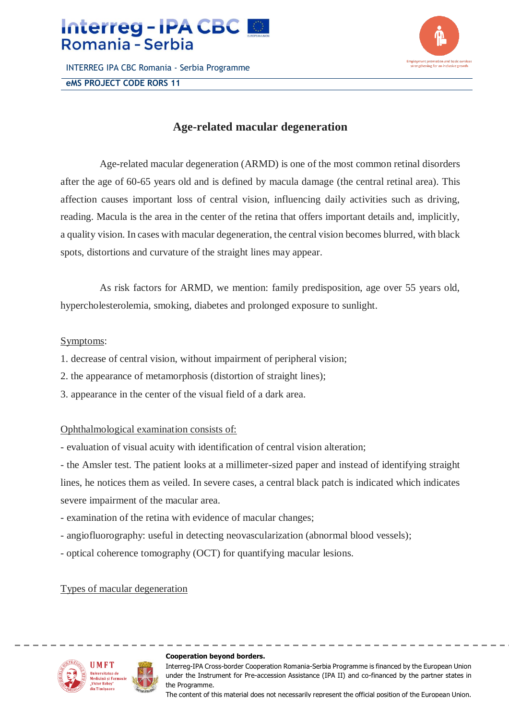

INTERREG IPA CBC Romania - Serbia Programme **eMS PROJECT CODE RORS 11**



## **Age-related macular degeneration**

Age-related macular degeneration (ARMD) is one of the most common retinal disorders after the age of 60-65 years old and is defined by macula damage (the central retinal area). This affection causes important loss of central vision, influencing daily activities such as driving, reading. Macula is the area in the center of the retina that offers important details and, implicitly, a quality vision. In cases with macular degeneration, the central vision becomes blurred, with black spots, distortions and curvature of the straight lines may appear.

As risk factors for ARMD, we mention: family predisposition, age over 55 years old, hypercholesterolemia, smoking, diabetes and prolonged exposure to sunlight.

## Symptoms:

- 1. decrease of central vision, without impairment of peripheral vision;
- 2. the appearance of metamorphosis (distortion of straight lines);
- 3. appearance in the center of the visual field of a dark area.

## Ophthalmological examination consists of:

- evaluation of visual acuity with identification of central vision alteration;

- the Amsler test. The patient looks at a millimeter-sized paper and instead of identifying straight lines, he notices them as veiled. In severe cases, a central black patch is indicated which indicates severe impairment of the macular area.

- examination of the retina with evidence of macular changes;
- angiofluorography: useful in detecting neovascularization (abnormal blood vessels);
- optical coherence tomography (OCT) for quantifying macular lesions.

## Types of macular degeneration



#### **Cooperation beyond borders.**

Interreg-IPA Cross-border Cooperation Romania-Serbia Programme is financed by the European Union under the Instrument for Pre-accession Assistance (IPA II) and co-financed by the partner states in the Programme.